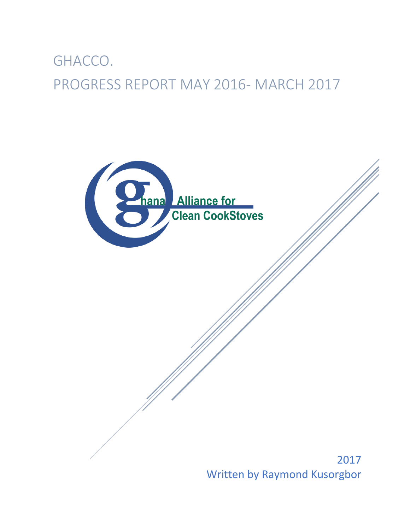# GHACCO. PROGRESS REPORT MAY 2016- MARCH 2017



Written by Raymond Kusorgbor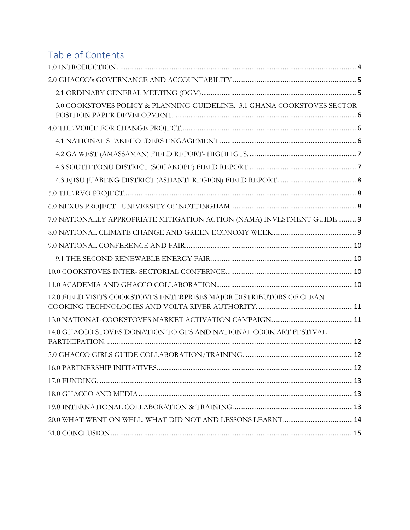# Table of Contents

| 3.0 COOKSTOVES POLICY & PLANNING GUIDELINE. 3.1 GHANA COOKSTOVES SECTOR |
|-------------------------------------------------------------------------|
|                                                                         |
|                                                                         |
|                                                                         |
|                                                                         |
|                                                                         |
|                                                                         |
|                                                                         |
| 7.0 NATIONALLY APPROPRIATE MITIGATION ACTION (NAMA) INVESTMENT GUIDE  9 |
|                                                                         |
|                                                                         |
|                                                                         |
|                                                                         |
|                                                                         |
| 12.0 FIELD VISITS COOKSTOVES ENTERPRISES MAJOR DISTRIBUTORS OF CLEAN    |
|                                                                         |
| 14.0 GHACCO STOVES DONATION TO GES AND NATIONAL COOK ART FESTIVAL       |
|                                                                         |
|                                                                         |
|                                                                         |
|                                                                         |
|                                                                         |
|                                                                         |
|                                                                         |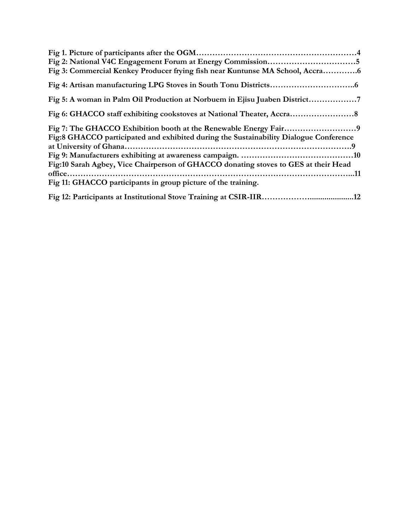| Fig 3: Commercial Kenkey Producer frying fish near Kuntunse MA School, Accra          |
|---------------------------------------------------------------------------------------|
|                                                                                       |
| Fig 5: A woman in Palm Oil Production at Norbuem in Ejisu Juaben District             |
|                                                                                       |
|                                                                                       |
| Fig:8 GHACCO participated and exhibited during the Sustainability Dialogue Conference |
|                                                                                       |
|                                                                                       |
| Fig:10 Sarah Agbey, Vice Chairperson of GHACCO donating stoves to GES at their Head   |
|                                                                                       |
| Fig 11: GHACCO participants in group picture of the training.                         |
|                                                                                       |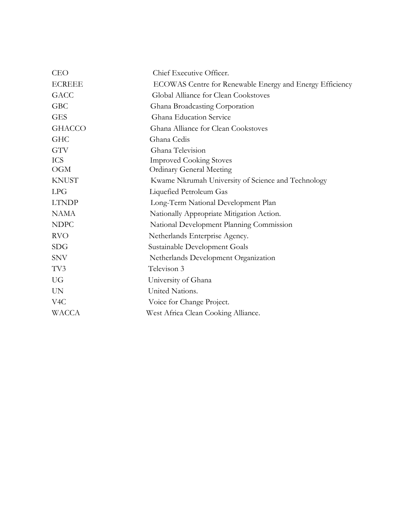| <b>CEO</b>       | Chief Executive Officer.                                 |
|------------------|----------------------------------------------------------|
| <b>ECREEE</b>    | ECOWAS Centre for Renewable Energy and Energy Efficiency |
| <b>GACC</b>      | Global Alliance for Clean Cookstoves                     |
| <b>GBC</b>       | Ghana Broadcasting Corporation                           |
| <b>GES</b>       | Ghana Education Service                                  |
| <b>GHACCO</b>    | Ghana Alliance for Clean Cookstoves                      |
| <b>GHC</b>       | Ghana Cedis                                              |
| <b>GTV</b>       | Ghana Television                                         |
| <b>ICS</b>       | <b>Improved Cooking Stoves</b>                           |
| <b>OGM</b>       | <b>Ordinary General Meeting</b>                          |
| <b>KNUST</b>     | Kwame Nkrumah University of Science and Technology       |
| LPG              | Liquefied Petroleum Gas                                  |
| <b>LTNDP</b>     | Long-Term National Development Plan                      |
| <b>NAMA</b>      | Nationally Appropriate Mitigation Action.                |
| <b>NDPC</b>      | National Development Planning Commission                 |
| <b>RVO</b>       | Netherlands Enterprise Agency.                           |
| <b>SDG</b>       | Sustainable Development Goals                            |
| <b>SNV</b>       | Netherlands Development Organization                     |
| TV3              | Televison 3                                              |
| <b>UG</b>        | University of Ghana                                      |
| <b>UN</b>        | United Nations.                                          |
| V <sub>4</sub> C | Voice for Change Project.                                |
| <b>WACCA</b>     | West Africa Clean Cooking Alliance.                      |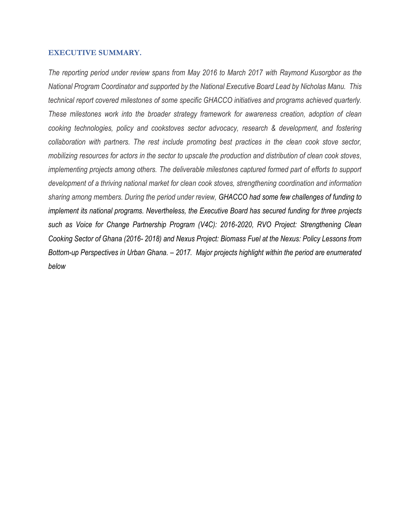### <span id="page-4-0"></span>**EXECUTIVE SUMMARY.**

*The reporting period under review spans from May 2016 to March 2017 with Raymond Kusorgbor as the National Program Coordinator and supported by the National Executive Board Lead by Nicholas Manu. This technical report covered milestones of some specific GHACCO initiatives and programs achieved quarterly. These milestones work into the broader strategy framework for awareness creation, adoption of clean cooking technologies, policy and cookstoves sector advocacy, research & development, and fostering collaboration with partners. The rest include promoting best practices in the clean cook stove sector, mobilizing resources for actors in the sector to upscale the production and distribution of clean cook stoves, implementing projects among others. The deliverable milestones captured formed part of efforts to support development of a thriving national market for clean cook stoves, strengthening coordination and information sharing among members. During the period under review, GHACCO had some few challenges of funding to implement its national programs. Nevertheless, the Executive Board has secured funding for three projects such as Voice for Change Partnership Program (V4C): 2016-2020, RVO Project: Strengthening Clean Cooking Sector of Ghana (2016- 2018) and Nexus Project: Biomass Fuel at the Nexus: Policy Lessons from Bottom-up Perspectives in Urban Ghana. – 2017. Major projects highlight within the period are enumerated below*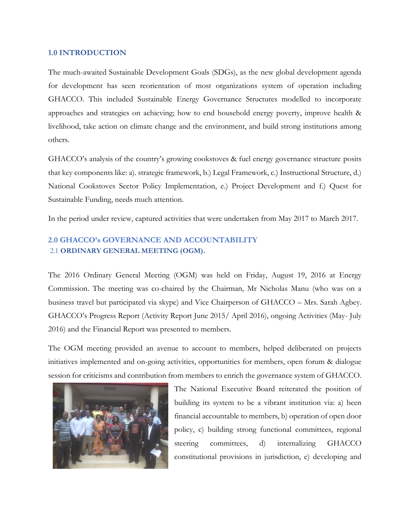## **1.0 INTRODUCTION**

The much-awaited Sustainable Development Goals (SDGs), as the new global development agenda for development has seen reorientation of most organizations system of operation including GHACCO. This included Sustainable Energy Governance Structures modelled to incorporate approaches and strategies on achieving; how to end household energy poverty, improve health & livelihood, take action on climate change and the environment, and build strong institutions among others.

GHACCO's analysis of the country's growing cookstoves & fuel energy governance structure posits that key components like: a). strategic framework, b.) Legal Framework, c.) Instructional Structure, d.) National Cookstoves Sector Policy Implementation, e.) Project Development and f.) Quest for Sustainable Funding, needs much attention.

In the period under review, captured activities that were undertaken from May 2017 to March 2017.

# <span id="page-5-1"></span><span id="page-5-0"></span>**2.0 GHACCO's GOVERNANCE AND ACCOUNTABILITY** 2.1 **ORDINARY GENERAL MEETING (OGM).**

The 2016 Ordinary General Meeting (OGM) was held on Friday, August 19, 2016 at Energy Commission. The meeting was co-chaired by the Chairman, Mr Nicholas Manu (who was on a business travel but participated via skype) and Vice Chairperson of GHACCO – Mrs. Sarah Agbey. GHACCO's Progress Report (Activity Report June 2015/ April 2016), ongoing Activities (May- July 2016) and the Financial Report was presented to members.

The OGM meeting provided an avenue to account to members, helped deliberated on projects initiatives implemented and on-going activities, opportunities for members, open forum & dialogue session for criticisms and contribution from members to enrich the governance system of GHACCO.



The National Executive Board reiterated the position of building its system to be a vibrant institution via: a) been financial accountable to members, b) operation of open door policy, c) building strong functional committees, regional steering committees, d) internalizing GHACCO constitutional provisions in jurisdiction, e) developing and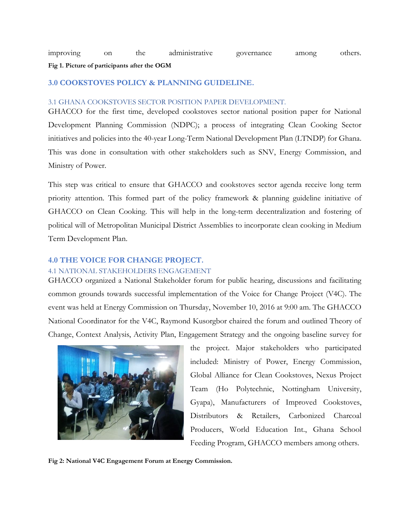### **Fig 1. Picture of participants after the OGM**

### <span id="page-6-0"></span>**3.0 COOKSTOVES POLICY & PLANNING GUIDELINE.**

#### 3.1 GHANA COOKSTOVES SECTOR POSITION PAPER DEVELOPMENT.

GHACCO for the first time, developed cookstoves sector national position paper for National Development Planning Commission (NDPC); a process of integrating Clean Cooking Sector initiatives and policies into the 40-year Long-Term National Development Plan (LTNDP) for Ghana. This was done in consultation with other stakeholders such as SNV, Energy Commission, and Ministry of Power.

This step was critical to ensure that GHACCO and cookstoves sector agenda receive long term priority attention. This formed part of the policy framework & planning guideline initiative of GHACCO on Clean Cooking. This will help in the long-term decentralization and fostering of political will of Metropolitan Municipal District Assemblies to incorporate clean cooking in Medium Term Development Plan.

### <span id="page-6-1"></span>**4.0 THE VOICE FOR CHANGE PROJECT.**

### <span id="page-6-2"></span>4.1 NATIONAL STAKEHOLDERS ENGAGEMENT

GHACCO organized a National Stakeholder forum for public hearing, discussions and facilitating common grounds towards successful implementation of the Voice for Change Project (V4C). The event was held at Energy Commission on Thursday, November 10, 2016 at 9:00 am. The GHACCO National Coordinator for the V4C, Raymond Kusorgbor chaired the forum and outlined Theory of Change, Context Analysis, Activity Plan, Engagement Strategy and the ongoing baseline survey for



the project. Major stakeholders who participated included: Ministry of Power, Energy Commission, Global Alliance for Clean Cookstoves, Nexus Project Team (Ho Polytechnic, Nottingham University, Gyapa), Manufacturers of Improved Cookstoves, Distributors & Retailers, Carbonized Charcoal Producers, World Education Int., Ghana School Feeding Program, GHACCO members among others.

**Fig 2: National V4C Engagement Forum at Energy Commission.**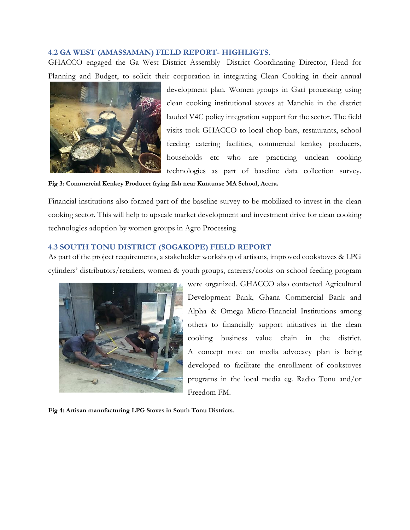### <span id="page-7-0"></span>**4.2 GA WEST (AMASSAMAN) FIELD REPORT- HIGHLIGTS.**

GHACCO engaged the Ga West District Assembly- District Coordinating Director, Head for Planning and Budget, to solicit their corporation in integrating Clean Cooking in their annual



development plan. Women groups in Gari processing using clean cooking institutional stoves at Manchie in the district lauded V4C policy integration support for the sector. The field visits took GHACCO to local chop bars, restaurants, school feeding catering facilities, commercial kenkey producers, households etc who are practicing unclean cooking technologies as part of baseline data collection survey.

**Fig 3: Commercial Kenkey Producer frying fish near Kuntunse MA School, Accra.**

Financial institutions also formed part of the baseline survey to be mobilized to invest in the clean cooking sector. This will help to upscale market development and investment drive for clean cooking technologies adoption by women groups in Agro Processing.

# <span id="page-7-1"></span>**4.3 SOUTH TONU DISTRICT (SOGAKOPE) FIELD REPORT**

As part of the project requirements, a stakeholder workshop of artisans, improved cookstoves & LPG cylinders' distributors/retailers, women & youth groups, caterers/cooks on school feeding program



were organized. GHACCO also contacted Agricultural Development Bank, Ghana Commercial Bank and Alpha & Omega Micro-Financial Institutions among others to financially support initiatives in the clean cooking business value chain in the district. A concept note on media advocacy plan is being developed to facilitate the enrollment of cookstoves programs in the local media eg. Radio Tonu and/or Freedom FM.

**Fig 4: Artisan manufacturing LPG Stoves in South Tonu Districts.**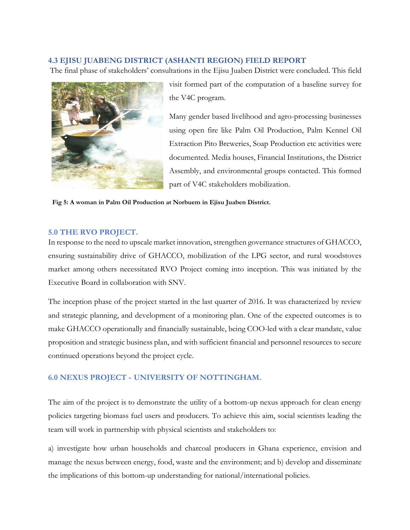# <span id="page-8-0"></span>**4.3 EJISU JUABENG DISTRICT (ASHANTI REGION) FIELD REPORT**

The final phase of stakeholders' consultations in the Ejisu Juaben District were concluded. This field



visit formed part of the computation of a baseline survey for the V4C program.

Many gender based livelihood and agro-processing businesses using open fire like Palm Oil Production, Palm Kennel Oil Extraction Pito Breweries, Soap Production etc activities were documented. Media houses, Financial Institutions, the District Assembly, and environmental groups contacted. This formed part of V4C stakeholders mobilization.

 **Fig 5: A woman in Palm Oil Production at Norbuem in Ejisu Juaben District.** 

### <span id="page-8-1"></span>**5.0 THE RVO PROJECT.**

In response to the need to upscale market innovation, strengthen governance structures of GHACCO, ensuring sustainability drive of GHACCO, mobilization of the LPG sector, and rural woodstoves market among others necessitated RVO Project coming into inception. This was initiated by the Executive Board in collaboration with SNV.

The inception phase of the project started in the last quarter of 2016. It was characterized by review and strategic planning, and development of a monitoring plan. One of the expected outcomes is to make GHACCO operationally and financially sustainable, being COO-led with a clear mandate, value proposition and strategic business plan, and with sufficient financial and personnel resources to secure continued operations beyond the project cycle.

# <span id="page-8-2"></span>**6.0 NEXUS PROJECT - UNIVERSITY OF NOTTINGHAM.**

The aim of the project is to demonstrate the utility of a bottom-up nexus approach for clean energy policies targeting biomass fuel users and producers. To achieve this aim, social scientists leading the team will work in partnership with physical scientists and stakeholders to:

a) investigate how urban households and charcoal producers in Ghana experience, envision and manage the nexus between energy, food, waste and the environment; and b) develop and disseminate the implications of this bottom-up understanding for national/international policies.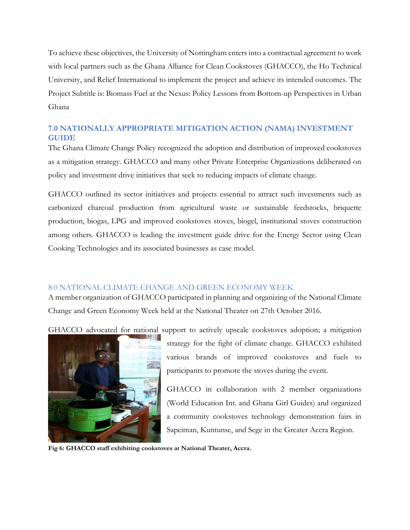To achieve these objectives, the University of Nottingham enters into a contractual agreement to work with local partners such as the Ghana Alliance for Clean Cookstoves (GHACCO), the Ho Technical University, and Relief International to implement the project and achieve its intended outcomes. The Project Subtitle is: Biomass Fuel at the Nexus: Policy Lessons from Bottom-up Perspectives in Urban Ghana

# <span id="page-9-0"></span>**7.0 NATIONALLY APPROPRIATE MITIGATION ACTION (NAMA) INVESTMENT GUIDE**

The Ghana Climate Change Policy recognized the adoption and distribution of improved cookstoves as a mitigation strategy. GHACCO and many other Private Enterprise Organizations deliberated on policy and investment drive initiatives that seek to reducing impacts of climate change.

GHACCO outlined its sector initiatives and projects essential to attract such investments such as carbonized charcoal production from agricultural waste or sustainable feedstocks, briquette production, biogas, LPG and improved cookstoves stoves, biogel, institutional stoves construction among others. GHACCO is leading the investment guide drive for the Energy Sector using Clean Cooking Technologies and its associated businesses as case model.

# <span id="page-9-1"></span>8.0 NATIONAL CLIMATE CHANGE AND GREEN ECONOMY WEEK

A member organization of GHACCO participated in planning and organizing of the National Climate Change and Green Economy Week held at the National Theater on 27th October 2016.

GHACCO advocated for national support to actively upscale cookstoves adoption; a mitigation



strategy for the fight of climate change. GHACCO exhibited various brands of improved cookstoves and fuels to participants to promote the stoves during the event.

GHACCO in collaboration with 2 member organizations (World Education Int. and Ghana Girl Guides) and organized a community cookstoves technology demonstration fairs in Sapeiman, Kuntunse, and Sege in the Greater Accra Region.

**Fig 6: GHACCO staff exhibiting cookstoves at National Theater, Accra.**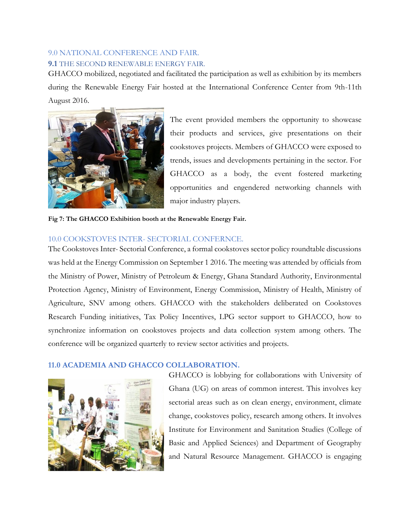# <span id="page-10-0"></span>9.0 NATIONAL CONFERENCE AND FAIR.

# <span id="page-10-1"></span>**9.1** THE SECOND RENEWABLE ENERGY FAIR.

GHACCO mobilized, negotiated and facilitated the participation as well as exhibition by its members during the Renewable Energy Fair hosted at the International Conference Center from 9th-11th August 2016.



The event provided members the opportunity to showcase their products and services, give presentations on their cookstoves projects. Members of GHACCO were exposed to trends, issues and developments pertaining in the sector. For GHACCO as a body, the event fostered marketing opportunities and engendered networking channels with major industry players.

**Fig 7: The GHACCO Exhibition booth at the Renewable Energy Fair.**

# <span id="page-10-2"></span>10.0 COOKSTOVES INTER- SECTORIAL CONFERNCE.

The Cookstoves Inter- Sectorial Conference, a formal cookstoves sector policy roundtable discussions was held at the Energy Commission on September 1 2016. The meeting was attended by officials from the Ministry of Power, Ministry of Petroleum & Energy, Ghana Standard Authority, Environmental Protection Agency, Ministry of Environment, Energy Commission, Ministry of Health, Ministry of Agriculture, SNV among others. GHACCO with the stakeholders deliberated on Cookstoves Research Funding initiatives, Tax Policy Incentives, LPG sector support to GHACCO, how to synchronize information on cookstoves projects and data collection system among others. The conference will be organized quarterly to review sector activities and projects.

# <span id="page-10-3"></span>**11.0 ACADEMIA AND GHACCO COLLABORATION.**



GHACCO is lobbying for collaborations with University of Ghana (UG) on areas of common interest. This involves key sectorial areas such as on clean energy, environment, climate change, cookstoves policy, research among others. It involves Institute for Environment and Sanitation Studies (College of Basic and Applied Sciences) and Department of Geography and Natural Resource Management. GHACCO is engaging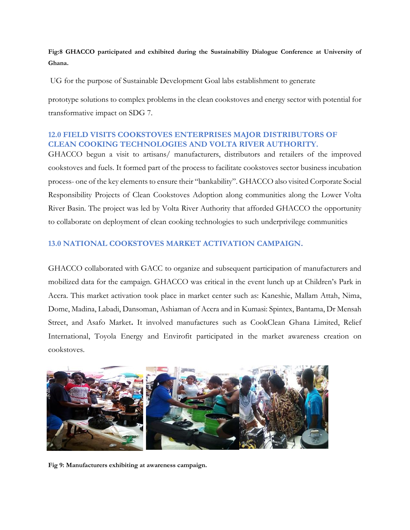**Fig:8 GHACCO participated and exhibited during the Sustainability Dialogue Conference at University of Ghana.**

UG for the purpose of Sustainable Development Goal labs establishment to generate

prototype solutions to complex problems in the clean cookstoves and energy sector with potential for transformative impact on SDG 7.

# <span id="page-11-0"></span>**12.0 FIELD VISITS COOKSTOVES ENTERPRISES MAJOR DISTRIBUTORS OF CLEAN COOKING TECHNOLOGIES AND VOLTA RIVER AUTHORITY.**

GHACCO begun a visit to artisans/ manufacturers, distributors and retailers of the improved cookstoves and fuels. It formed part of the process to facilitate cookstoves sector business incubation process- one of the key elements to ensure their "bankability". GHACCO also visited Corporate Social Responsibility Projects of Clean Cookstoves Adoption along communities along the Lower Volta River Basin. The project was led by Volta River Authority that afforded GHACCO the opportunity to collaborate on deployment of clean cooking technologies to such underprivilege communities

# <span id="page-11-1"></span>**13.0 NATIONAL COOKSTOVES MARKET ACTIVATION CAMPAIGN.**

GHACCO collaborated with GACC to organize and subsequent participation of manufacturers and mobilized data for the campaign. GHACCO was critical in the event lunch up at Children's Park in Accra. This market activation took place in market center such as: Kaneshie, Mallam Attah, Nima, Dome, Madina, Labadi, Dansoman, Ashiaman of Accra and in Kumasi: Spintex, Bantama, Dr Mensah Street, and Asafo Market**.** It involved manufactures such as CookClean Ghana Limited, Relief International, Toyola Energy and Envirofit participated in the market awareness creation on cookstoves.



**Fig 9: Manufacturers exhibiting at awareness campaign.**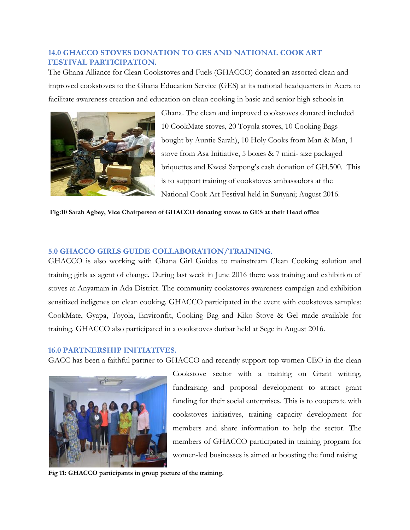# <span id="page-12-0"></span>**14.0 GHACCO STOVES DONATION TO GES AND NATIONAL COOK ART FESTIVAL PARTICIPATION.**

The Ghana Alliance for Clean Cookstoves and Fuels (GHACCO) donated an assorted clean and improved cookstoves to the Ghana Education Service (GES) at its national headquarters in Accra to facilitate awareness creation and education on clean cooking in basic and senior high schools in



Ghana. The clean and improved cookstoves donated included 10 CookMate stoves, 20 Toyola stoves, 10 Cooking Bags bought by Auntie Sarah), 10 Holy Cooks from Man & Man, 1 stove from Asa Initiative, 5 boxes & 7 mini- size packaged briquettes and Kwesi Sarpong's cash donation of GH.500. This is to support training of cookstoves ambassadors at the National Cook Art Festival held in Sunyani; August 2016.

### **Fig:10 Sarah Agbey, Vice Chairperson of GHACCO donating stoves to GES at their Head office**

# <span id="page-12-1"></span>**5.0 GHACCO GIRLS GUIDE COLLABORATION/TRAINING.**

GHACCO is also working with Ghana Girl Guides to mainstream Clean Cooking solution and training girls as agent of change. During last week in June 2016 there was training and exhibition of stoves at Anyamam in Ada District. The community cookstoves awareness campaign and exhibition sensitized indigenes on clean cooking. GHACCO participated in the event with cookstoves samples: CookMate, Gyapa, Toyola, Environfit, Cooking Bag and Kiko Stove & Gel made available for training. GHACCO also participated in a cookstoves durbar held at Sege in August 2016.

### <span id="page-12-2"></span>**16.0 PARTNERSHIP INITIATIVES.**

GACC has been a faithful partner to GHACCO and recently support top women CEO in the clean



Cookstove sector with a training on Grant writing, fundraising and proposal development to attract grant funding for their social enterprises. This is to cooperate with cookstoves initiatives, training capacity development for members and share information to help the sector. The members of GHACCO participated in training program for women-led businesses is aimed at boosting the fund raising

**Fig 11: GHACCO participants in group picture of the training.**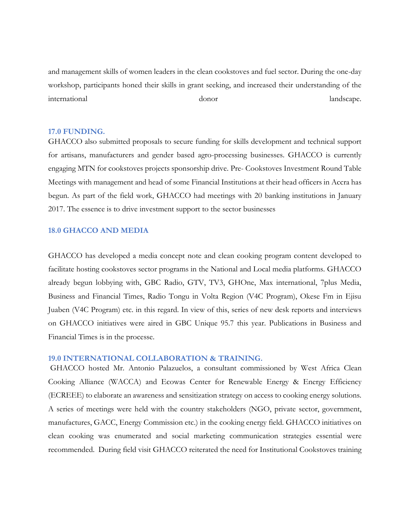and management skills of women leaders in the clean cookstoves and fuel sector. During the one-day workshop, participants honed their skills in grant seeking, and increased their understanding of the international donor landscape.

### <span id="page-13-0"></span>**17.0 FUNDING.**

GHACCO also submitted proposals to secure funding for skills development and technical support for artisans, manufacturers and gender based agro-processing businesses. GHACCO is currently engaging MTN for cookstoves projects sponsorship drive. Pre- Cookstoves Investment Round Table Meetings with management and head of some Financial Institutions at their head officers in Accra has begun. As part of the field work, GHACCO had meetings with 20 banking institutions in January 2017. The essence is to drive investment support to the sector businesses

### <span id="page-13-1"></span>**18.0 GHACCO AND MEDIA**

GHACCO has developed a media concept note and clean cooking program content developed to facilitate hosting cookstoves sector programs in the National and Local media platforms. GHACCO already begun lobbying with, GBC Radio, GTV, TV3, GHOne, Max international, 7plus Media, Business and Financial Times, Radio Tongu in Volta Region (V4C Program), Okese Fm in Ejisu Juaben (V4C Program) etc. in this regard. In view of this, series of new desk reports and interviews on GHACCO initiatives were aired in GBC Unique 95.7 this year. Publications in Business and Financial Times is in the processe.

### <span id="page-13-2"></span>**19.0 INTERNATIONAL COLLABORATION & TRAINING.**

GHACCO hosted Mr. Antonio Palazuelos, a consultant commissioned by West Africa Clean Cooking Alliance (WACCA) and Ecowas Center for Renewable Energy & Energy Efficiency (ECREEE) to elaborate an awareness and sensitization strategy on access to cooking energy solutions. A series of meetings were held with the country stakeholders (NGO, private sector, government, manufactures, GACC, Energy Commission etc.) in the cooking energy field. GHACCO initiatives on clean cooking was enumerated and social marketing communication strategies essential were recommended. During field visit GHACCO reiterated the need for Institutional Cookstoves training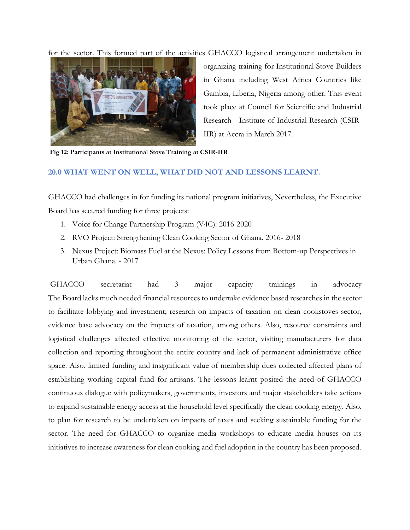for the sector. This formed part of the activities GHACCO logistical arrangement undertaken in



organizing training for Institutional Stove Builders in Ghana including West Africa Countries like Gambia, Liberia, Nigeria among other. This event took place at Council for Scientific and Industrial Research - Institute of Industrial Research (CSIR-IIR) at Accra in March 2017.

**Fig 12: Participants at Institutional Stove Training at CSIR-IIR**

### <span id="page-14-0"></span>**20.0 WHAT WENT ON WELL, WHAT DID NOT AND LESSONS LEARNT.**

GHACCO had challenges in for funding its national program initiatives, Nevertheless, the Executive Board has secured funding for three projects:

- 1. Voice for Change Partnership Program (V4C): 2016-2020
- 2. RVO Project: Strengthening Clean Cooking Sector of Ghana. 2016- 2018
- 3. Nexus Project: Biomass Fuel at the Nexus: Policy Lessons from Bottom-up Perspectives in Urban Ghana. - 2017

GHACCO secretariat had 3 major capacity trainings in advocacy The Board lacks much needed financial resources to undertake evidence based researches in the sector to facilitate lobbying and investment; research on impacts of taxation on clean cookstoves sector, evidence base advocacy on the impacts of taxation, among others. Also, resource constraints and logistical challenges affected effective monitoring of the sector, visiting manufacturers for data collection and reporting throughout the entire country and lack of permanent administrative office space. Also, limited funding and insignificant value of membership dues collected affected plans of establishing working capital fund for artisans. The lessons learnt posited the need of GHACCO continuous dialogue with policymakers, governments, investors and major stakeholders take actions to expand sustainable energy access at the household level specifically the clean cooking energy. Also, to plan for research to be undertaken on impacts of taxes and seeking sustainable funding for the sector. The need for GHACCO to organize media workshops to educate media houses on its initiatives to increase awareness for clean cooking and fuel adoption in the country has been proposed.